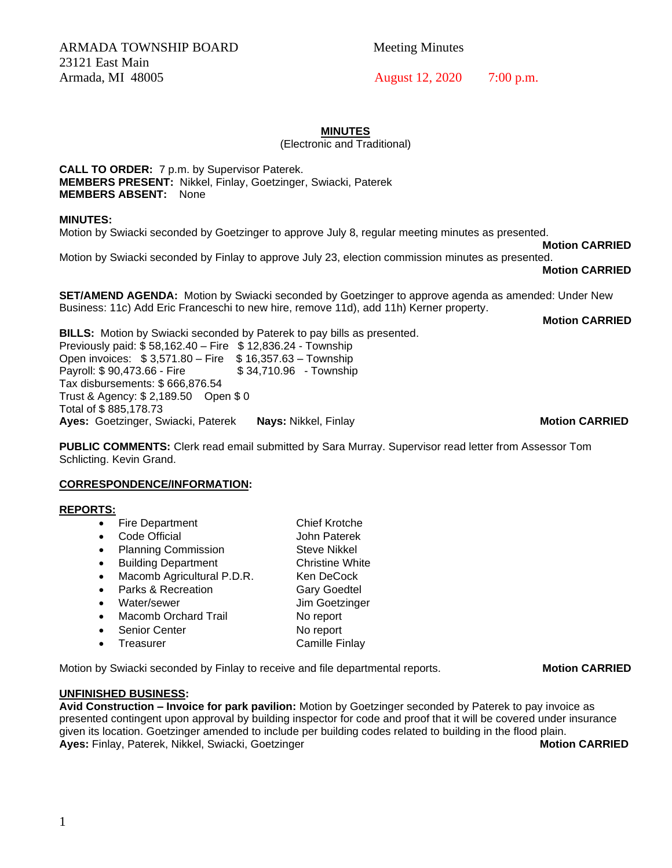ARMADA TOWNSHIP BOARD Meeting Minutes 23121 East Main Armada, MI 48005 August 12, 2020 7:00 p.m.

### **MINUTES**

(Electronic and Traditional)

**CALL TO ORDER:** 7 p.m. by Supervisor Paterek. **MEMBERS PRESENT:** Nikkel, Finlay, Goetzinger, Swiacki, Paterek **MEMBERS ABSENT:** None

### **MINUTES:**

Motion by Swiacki seconded by Goetzinger to approve July 8, regular meeting minutes as presented.

**Motion CARRIED**

Motion by Swiacki seconded by Finlay to approve July 23, election commission minutes as presented.

**Motion CARRIED**

**SET/AMEND AGENDA:** Motion by Swiacki seconded by Goetzinger to approve agenda as amended: Under New Business: 11c) Add Eric Franceschi to new hire, remove 11d), add 11h) Kerner property.

**Motion CARRIED**

**BILLS:** Motion by Swiacki seconded by Paterek to pay bills as presented. Previously paid: \$ 58,162.40 – Fire \$ 12,836.24 - Township Open invoices: \$ 3,571.80 – Fire \$ 16,357.63 – Township Payroll: \$90,473.66 - Fire \$34,710.96 - Township Tax disbursements: \$ 666,876.54 Trust & Agency: \$ 2,189.50 Open \$ 0 Total of \$ 885,178.73 **Ayes:** Goetzinger, Swiacki, Paterek **Nays:** Nikkel, Finlay **Motion CARRIED**

**PUBLIC COMMENTS:** Clerk read email submitted by Sara Murray. Supervisor read letter from Assessor Tom Schlicting. Kevin Grand.

### **CORRESPONDENCE/INFORMATION:**

### **REPORTS:**

- Fire Department Chief Krotche
- Code Official John Paterek
- Planning Commission Steve Nikkel
- Building Department Christine White
- Macomb Agricultural P.D.R. Ken DeCock
- Parks & Recreation Gary Goedtel
- Water/sewer Jim Goetzinger
- Macomb Orchard Trail No report
- **Senior Center No report**
- **Freasurer Camille Finlay**

Motion by Swiacki seconded by Finlay to receive and file departmental reports. **Mustim CARRIED** 

# **UNFINISHED BUSINESS:**

**Avid Construction – Invoice for park pavilion:** Motion by Goetzinger seconded by Paterek to pay invoice as presented contingent upon approval by building inspector for code and proof that it will be covered under insurance given its location. Goetzinger amended to include per building codes related to building in the flood plain. **Ayes:** Finlay, Paterek, Nikkel, Swiacki, Goetzinger **Motion CARRIED** 

1